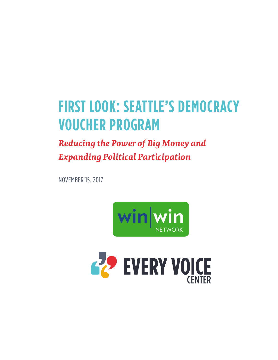# **FIRST LOOK: SEATTLE'S DEMOCRACY VOUCHER PROGRAM**

# *Reducing the Power of Big Money and Expanding Political Participation*

NOVEMBER 15, 2017



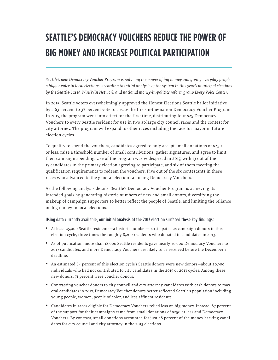# **SEATTLE'S DEMOCRACY VOUCHERS REDUCE THE POWER OF BIG MONEY AND INCREASE POLITICAL PARTICIPATION**

*Seattle's new Democracy Voucher Program is reducing the power of big money and giving everyday people a bigger voice in local elections, according to initial analysis of the system in this year's municipal elections by the Seattle-based Win/Win Network and national money-in-politics reform group Every Voice Center.*

In 2015, Seattle voters overwhelmingly approved the Honest Elections Seattle ballot initiative by a 63 percent to 37 percent vote to create the first-in-the-nation Democracy Voucher Program. In 2017, the program went into effect for the first time, distributing four \$25 Democracy Vouchers to every Seattle resident for use in two at-large city council races and the contest for city attorney. The program will expand to other races including the race for mayor in future election cycles.

To qualify to spend the vouchers, candidates agreed to only accept small donations of \$250 or less, raise a threshold number of small contributions, gather signatures, and agree to limit their campaign spending. Use of the program was widespread in 2017, with 13 out of the 17 candidates in the primary election agreeing to participate, and six of them meeting the qualification requirements to redeem the vouchers. Five out of the six contestants in these races who advanced to the general election ran using Democracy Vouchers.

As the following analysis details, Seattle's Democracy Voucher Program is achieving its intended goals by generating historic numbers of new and small donors, diversifying the makeup of campaign supporters to better reflect the people of Seattle, and limiting the reliance on big money in local elections.

### Using data currently available, our initial analysis of the 2017 election surfaced these key findings:

- **•**  At least 25,000 Seattle residents—a historic number—participated as campaign donors in this election cycle, three times the roughly 8,200 residents who donated to candidates in 2013.
- **•**  As of publication, more than 18,000 Seattle residents gave nearly 70,000 Democracy Vouchers to 2017 candidates, and more Democracy Vouchers are likely to be received before the December 1 deadline.
- **•**  An estimated 84 percent of this election cycle's Seattle donors were new donors—about 20,900 individuals who had not contributed to city candidates in the 2015 or 2013 cycles. Among these new donors, 71 percent were voucher donors.
- **•**  Contrasting voucher donors to city council and city attorney candidates with cash donors to mayoral candidates in 2017, Democracy Voucher donors better reflected Seattle's population including young people, women, people of color, and less affluent residents.
- **•**  Candidates in races eligible for Democracy Vouchers relied less on big money. Instead, 87 percent of the support for their campaigns came from small donations of \$250 or less and Democracy Vouchers. By contrast, small donations accounted for just 48 percent of the money backing candidates for city council and city attorney in the 2013 elections.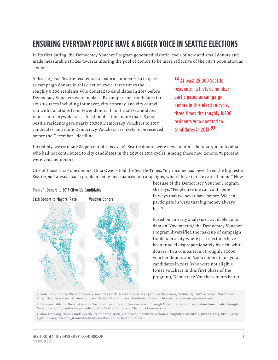# **ENSURING EVERYDAY PEOPLE HAVE A BIGGER VOICE IN SEATTLE ELECTIONS**

In its first outing, the Democracy Voucher Program generated historic levels of new and small donors and made measurable strides towards altering the pool of donors to be more reflective of the city's population as a whole.

At least 25,000 Seattle residents—a historic number—participated as campaign donors in this election cycle, three times the roughly 8,200 residents who donated to candidates in 2013 before Democracy Vouchers were in place. By comparison, candidates for six 2013 races including for mayor, city attorney, and city council ran with donations from fewer donors than the 2017 candidates in just four citywide races. As of publication, more than 18,000 Seattle residents gave nearly 70,000 Democracy Vouchers to 2017 candidates, and more Democracy Vouchers are likely to be received before the December 1 deadline.

**"G"** At least 25,000 Seattle residents—a historic number participated as campaign donors in this election cycle, three times the roughly 8,200 residents who donated to candidates in 2013.<sup>77</sup>

Incredibly, we estimate 84 percent of this cycle's Seattle donors were new donors—about 20,900 individuals who had not contributed to city candidates in the 2015 or 2013 cycles. Among these new donors, 71 percent were voucher donors.

One of those first-time donors, Gina Owens told the Seattle Times, "my income has never been the highest in Seattle, so I always had a problem using my finances for campaigns, when I have to take care of home." Now

# Cash Donors to Mayoral Race Voucher Donors

Figure 1. Donors to 2017 Citywide Candidates

because of the Democracy Voucher Program she says, "People like me can contribute in ways that we never have before. We can participate in ways that big money always has."1

Based on an early analysis of available donor data on November 6,<sup>2</sup> the Democracy Voucher Program diversified the makeup of campaign funders in a city where past elections have been funded disproportionately by rich, white donors.3 In a comparison of roughly 17,000 voucher donors and 6,000 donors to mayoral candidates in 2017 (who were not eligible to use vouchers in this first phase of the program), Democracy Voucher donors better

1 Gene Balk, "Do Seattle's democracy vouchers work? New analysis says yes," Seattle Times, October 13, 2017, accessed November 11, 2017, https://www.seattletimes.com/seattle-news/data/do-seattles-democracy-vouchers-work-new-analysis-says-yes/

2 Data available for the analyses in this report include vouchers received through November 2 and private donations made through November 6, 2017 and were provided by the Seattle Ethics and Elections Commission.

3 Alan Durning, "Who Funds Seattle Candidates? Rich, white people with view homes." Sightline Institute, July 21, 2015, http://www. sightline.org/research\_item/who-funds-seattles-political-candidates/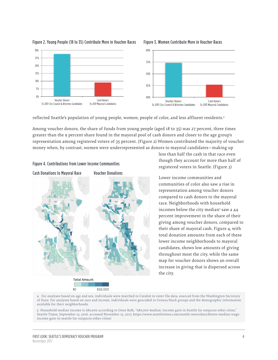

### Figure 2. Young People (18 to 35) Contribute More in Voucher Races  $\qquad$  Figure 3. Women Contribute More in Voucher Races



### Figure 3. Women Contribute More in Voucher Races

reflected Seattle's population of young people, women, people of color, and less affluent residents.4

Among voucher donors, the share of funds from young people (aged 18 to 35) was 27 percent, three times greater than the 9 percent share found in the mayoral pool of cash donors and closer to the age group's representation among registered voters of 35 percent. (Figure 2) Women contributed the majority of voucher money when, by contrast, women were underrepresented as donors to mayoral candidates—making up

### Figure 4. Contributions from Lower Income Communities



less than half the cash in that race even though they account for more than half of registered voters in Seattle. (Figure 3)

Lower income communities and communities of color also saw a rise in representation among voucher donors compared to cash donors to the mayoral race. Neighborhoods with household incomes below the city median<sup>5</sup> saw a 44 percent improvement in the share of their giving among voucher donors, compared to their share of mayoral cash. Figure 4, with total donation amounts from each of these lower income neighborhoods to mayoral candidates, shows low amounts of giving throughout most the city, while the same map for voucher donors shows an overall increase in giving that is dispersed across the city.

4 For analyses based on age and sex, individuals were matched in Catalist to voter file data, sourced from the Washington Secretary of State. For analyses based on race and income, individuals were geocoded to Census block groups and the demographic information available for their neighborhoods.

5 Household median income is \$80,000 according to Gene Balk, "\$80,000 median: Income gain in Seattle far outpaces other cities," Seattle Times, September 15, 2016, accessed November 15, 2017, https://www.seattletimes.com/seattle-news/data/80000-median-wageincome-gain-in-seattle-far-outpaces-other-cities/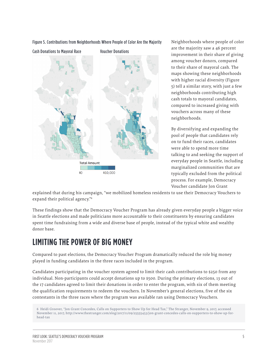

Figure 5. Contributions from Neighborhoods Where People of Color Are the Majority

Neighborhoods where people of color are the majority saw a 46 percent improvement in their share of giving among voucher donors, compared to their share of mayoral cash. The maps showing these neighborhoods with higher racial diversity (Figure 5) tell a similar story, with just a few neighborhoods contributing high cash totals to mayoral candidates, compared to increased giving with vouchers across many of these neighborhoods.

By diversifying and expanding the pool of people that candidates rely on to fund their races, candidates were able to spend more time talking to and seeking the support of everyday people in Seattle, including marginalized communities that are typically excluded from the political process. For example, Democracy Voucher candidate Jon Grant

explained that during his campaign, "we mobilized homeless residents to use their Democracy Vouchers to expand their political agency."6

These findings show that the Democracy Voucher Program has already given everyday people a bigger voice in Seattle elections and made politicians more accountable to their constituents by ensuring candidates spent time fundraising from a wide and diverse base of people, instead of the typical white and wealthy donor base.

# **LIMITING THE POWER OF BIG MONEY**

Compared to past elections, the Democracy Voucher Program dramatically reduced the role big money played in funding candidates in the three races included in the program.

Candidates participating in the voucher system agreed to limit their cash contributions to \$250 from any individual. Non-participants could accept donations up to \$500. During the primary elections, 13 out of the 17 candidates agreed to limit their donations in order to enter the program, with six of them meeting the qualification requirements to redeem the vouchers. In November's general elections, five of the six contestants in the three races where the program was available ran using Democracy Vouchers.

<sup>6</sup> Heidi Groover, "Jon Grant Concedes, Calls on Supporters to Show Up for Head Tax," The Stranger, November 9, 2017, accessed November 11, 2017, http://www.thestranger.com/slog/2017/11/09/25555453/jon-grant-concedes-calls-on-supporters-to-show-up-forhead-tax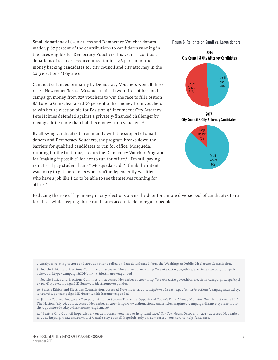Small donations of \$250 or less and Democracy Voucher donors made up 87 percent of the contributions to candidates running in the races eligible for Democracy Vouchers this year. In contrast, donations of \$250 or less accounted for just 48 percent of the money backing candidates for city council and city attorney in the 2013 elections.7 (Figure 6)

Candidates funded primarily by Democracy Vouchers won all three races. Newcomer Teresa Mosqueda raised two-thirds of her total campaign money from \$25 vouchers to win the race to fill Position 8.8 Lorena González raised 70 percent of her money from vouchers to win her re-election bid for Position 9.9 Incumbent City Attorney Pete Holmes defended against a privately-financed challenger by raising a little more than half his money from vouchers.<sup>10</sup>

By allowing candidates to run mainly with the support of small donors and Democracy Vouchers, the program breaks down the barriers for qualified candidates to run for office. Mosqueda, running for the first time, credits the Democracy Voucher Program for "making it possible" for her to run for office.11 "I'm still paying rent, I still pay student loans," Mosqueda said. "I think the intent was to try to get more folks who aren't independently wealthy who have a job like I do to be able to see themselves running for office."12

Figure 6. Reliance on Small vs. Large donors

**2013 City Council & City Attorney Candidates**



Small Donors 87%

Reducing the role of big money in city elections opens the door for a more diverse pool of candidates to run for office while keeping those candidates accountable to regular people.

7 Analyses relating to 2013 and 2015 donations relied on data downloaded from the Washington Public Disclosure Commission.

8 Seattle Ethics and Elections Commission, accessed November 11, 2017, http://web6.seattle.gov/ethics/elections/campaigns.aspx?c ycle=2017&type=campaign&IDNum=533&leftmenu=expanded

9 Seattle Ethics and Elections Commission, accessed November 11, 2017, http://web6.seattle.gov/ethics/elections/campaigns.aspx?cycl e=2017&type=campaign&IDNum=530&leftmenu=expanded

10 Seattle Ethics and Elections Commission, accessed November 11, 2017, http://web6.seattle.gov/ethics/elections/campaigns.aspx?cyc le=2017&type=campaign&IDNum=524&leftmenu=expanded

11 Jimmy Tobias, "Imagine a Campaign-Finance System That's the Opposite of Today's Dark-Money Monster: Seattle just created it," The Nation, July 26, 2017 accessed November 11, 2017, https://www.thenation.com/article/imagine-a-campaign-finance-system-thatsthe-opposite-of-todays-dark-money-nightmare/

12 "Seattle City Council hopefuls rely on democracy vouchers to help fund race," Q13 Fox News, October 13, 2017, accessed November 11, 2017, http://q13fox.com/2017/10/18/seattle-city-council-hopefuls-rely-on-democracy-vouchers-to-help-fund-race/